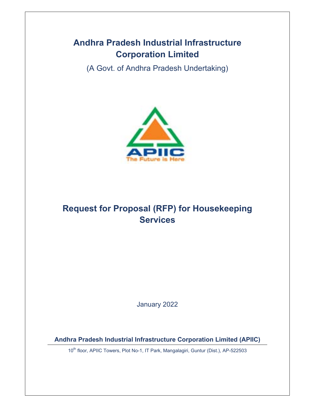## **Andhra Pradesh Industrial Infrastructure Corporation Limited**

(A Govt. of Andhra Pradesh Undertaking)



# **Request for Proposal (RFP) for Housekeeping Services**

January 2022

**Andhra Pradesh Industrial Infrastructure Corporation Limited (APIIC)** 

10<sup>th</sup> floor, APIIC Towers, Plot No-1, IT Park, Mangalagiri, Guntur (Dist.), AP-522503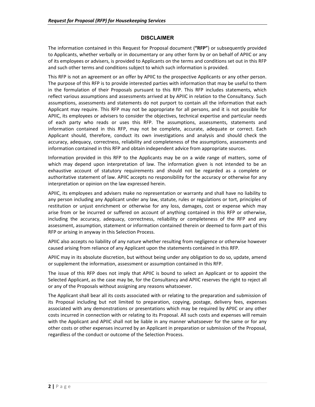#### **DISCLAIMER**

The information contained in this Request for Proposal document (**"RFP"**) or subsequently provided to Applicants, whether verbally or in documentary or any other form by or on behalf of APIIC or any of its employees or advisers, is provided to Applicants on the terms and conditions set out in this RFP and such other terms and conditions subject to which such information is provided.

This RFP is not an agreement or an offer by APIIC to the prospective Applicants or any other person. The purpose of this RFP is to provide interested parties with information that may be useful to them in the formulation of their Proposals pursuant to this RFP. This RFP includes statements, which reflect various assumptions and assessments arrived at by APIIC in relation to the Consultancy. Such assumptions, assessments and statements do not purport to contain all the information that each Applicant may require. This RFP may not be appropriate for all persons, and it is not possible for APIIC, its employees or advisers to consider the objectives, technical expertise and particular needs of each party who reads or uses this RFP. The assumptions, assessments, statements and information contained in this RFP, may not be complete, accurate, adequate or correct. Each Applicant should, therefore, conduct its own investigations and analysis and should check the accuracy, adequacy, correctness, reliability and completeness of the assumptions, assessments and information contained in this RFP and obtain independent advice from appropriate sources.

Information provided in this RFP to the Applicants may be on a wide range of matters, some of which may depend upon interpretation of law. The information given is not intended to be an exhaustive account of statutory requirements and should not be regarded as a complete or authoritative statement of law. APIIC accepts no responsibility for the accuracy or otherwise for any interpretation or opinion on the law expressed herein.

APIIC, its employees and advisers make no representation or warranty and shall have no liability to any person including any Applicant under any law, statute, rules or regulations or tort, principles of restitution or unjust enrichment or otherwise for any loss, damages, cost or expense which may arise from or be incurred or suffered on account of anything contained in this RFP or otherwise, including the accuracy, adequacy, correctness, reliability or completeness of the RFP and any assessment, assumption, statement or information contained therein or deemed to form part of this RFP or arising in anyway in this Selection Process.

APIIC also accepts no liability of any nature whether resulting from negligence or otherwise however caused arising from reliance of any Applicant upon the statements contained in this RFP.

APIIC may in its absolute discretion, but without being under any obligation to do so, update, amend or supplement the information, assessment or assumption contained in this RFP.

The issue of this RFP does not imply that APIIC is bound to select an Applicant or to appoint the Selected Applicant, as the case may be, for the Consultancy and APIIC reserves the right to reject all or any of the Proposals without assigning any reasons whatsoever.

The Applicant shall bear all its costs associated with or relating to the preparation and submission of its Proposal including but not limited to preparation, copying, postage, delivery fees, expenses associated with any demonstrations or presentations which may be required by APIIC or any other costs incurred in connection with or relating to its Proposal. All such costs and expenses will remain with the Applicant and APIIC shall not be liable in any manner whatsoever for the same or for any other costs or other expenses incurred by an Applicant in preparation or submission of the Proposal, regardless of the conduct or outcome of the Selection Process.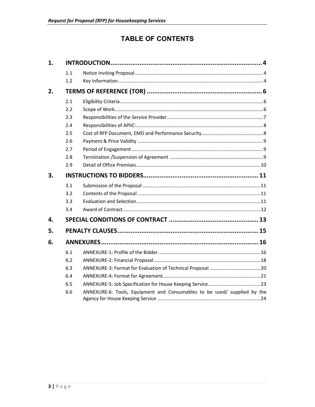## **TABLE OF CONTENTS**

| 1. |     |                                                                          |  |  |  |
|----|-----|--------------------------------------------------------------------------|--|--|--|
|    | 1.1 |                                                                          |  |  |  |
|    | 1.2 |                                                                          |  |  |  |
| 2. |     |                                                                          |  |  |  |
|    | 2.1 |                                                                          |  |  |  |
|    | 2.2 |                                                                          |  |  |  |
|    | 2.3 |                                                                          |  |  |  |
|    | 2.4 |                                                                          |  |  |  |
|    | 2.5 |                                                                          |  |  |  |
|    | 2.6 |                                                                          |  |  |  |
|    | 2.7 |                                                                          |  |  |  |
|    | 2.8 |                                                                          |  |  |  |
|    | 2.9 |                                                                          |  |  |  |
| 3. |     |                                                                          |  |  |  |
|    | 3.1 |                                                                          |  |  |  |
|    | 3.2 |                                                                          |  |  |  |
|    | 3.3 |                                                                          |  |  |  |
|    | 3.4 |                                                                          |  |  |  |
| 4. |     |                                                                          |  |  |  |
| 5. |     |                                                                          |  |  |  |
| 6. |     |                                                                          |  |  |  |
|    | 6.1 |                                                                          |  |  |  |
|    | 6.2 |                                                                          |  |  |  |
|    | 6.3 |                                                                          |  |  |  |
|    | 6.4 |                                                                          |  |  |  |
|    | 6.5 |                                                                          |  |  |  |
|    | 6.6 | ANNEXURE-6: Tools, Equipment and Consumables to be used/ supplied by the |  |  |  |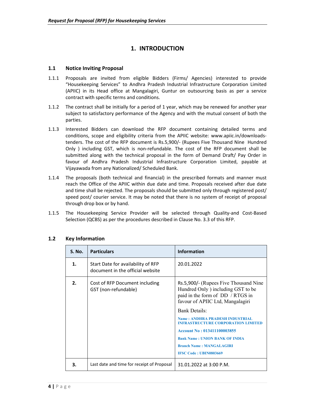## **1. INTRODUCTION**

#### **1.1 Notice Inviting Proposal**

- 1.1.1 Proposals are invited from eligible Bidders (Firms/ Agencies) interested to provide "Housekeeping Services" to Andhra Pradesh Industrial Infrastructure Corporation Limited (APIIC) in its Head office at Mangalagiri, Guntur on outsourcing basis as per a service contract with specific terms and conditions.
- 1.1.2 The contract shall be initially for a period of 1 year, which may be renewed for another year subject to satisfactory performance of the Agency and with the mutual consent of both the parties.
- 1.1.3 Interested Bidders can download the RFP document containing detailed terms and conditions, scope and eligibility criteria from the APIIC website: www.apiic.in/downloadstenders. The cost of the RFP document is Rs.5,900/‐ (Rupees Five Thousand Nine Hundred Only ) including GST, which is non-refundable. The cost of the RFP document shall be submitted along with the technical proposal in the form of Demand Draft/ Pay Order in favour of Andhra Pradesh Industrial Infrastructure Corporation Limited, payable at Vijayawada from any Nationalized/ Scheduled Bank.
- 1.1.4 The proposals (both technical and financial) in the prescribed formats and manner must reach the Office of the APIIC within due date and time. Proposals received after due date and time shall be rejected. The proposals should be submitted only through registered post/ speed post/ courier service. It may be noted that there is no system of receipt of proposal through drop box or by hand.
- 1.1.5 The Housekeeping Service Provider will be selected through Quality‐and Cost‐Based Selection (QCBS) as per the procedures described in Clause No. 3.3 of this RFP.

| <b>S. No.</b> | <b>Particulars</b>                                                                                                                                                                                                                                                               | <b>Information</b>                                                                                                                                                                    |
|---------------|----------------------------------------------------------------------------------------------------------------------------------------------------------------------------------------------------------------------------------------------------------------------------------|---------------------------------------------------------------------------------------------------------------------------------------------------------------------------------------|
| 1.            | Start Date for availability of RFP<br>document in the official website                                                                                                                                                                                                           | 20.01.2022                                                                                                                                                                            |
| 2.            | Rs.5,900/- (Rupees Five Thousand Nine)<br>Cost of RFP Document including<br>Hundred Only ) including GST to be<br>GST (non-refundable)<br>paid in the form of DD / RTGS in<br>favour of APIIC Ltd, Mangalagiri<br><b>Bank Details:</b><br><b>Name: ANDHRA PRADESH INDUSTRIAI</b> |                                                                                                                                                                                       |
|               |                                                                                                                                                                                                                                                                                  | <b>INFRASTRUCTURE CORPORATION LIMITED</b><br>Account No: 013411100003855<br><b>Bank Name: UNION BANK OF INDIA</b><br><b>Branch Name: MANGALAGIRI</b><br><b>IFSC Code: UBIN0803669</b> |
| З.            | Last date and time for receipt of Proposal                                                                                                                                                                                                                                       | 31.01.2022 at 3:00 P.M.                                                                                                                                                               |

#### **1.2 Key Information**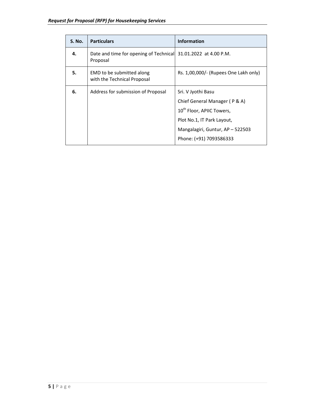| <b>S. No.</b> | <b>Particulars</b>                                                         | <b>Information</b>                                                                                                                                                                        |
|---------------|----------------------------------------------------------------------------|-------------------------------------------------------------------------------------------------------------------------------------------------------------------------------------------|
| 4.            | Date and time for opening of Technical 31.01.2022 at 4.00 P.M.<br>Proposal |                                                                                                                                                                                           |
| 5.            | EMD to be submitted along<br>with the Technical Proposal                   | Rs. 1,00,000/- (Rupees One Lakh only)                                                                                                                                                     |
| 6.            | Address for submission of Proposal                                         | Sri. V Jyothi Basu<br>Chief General Manager (P & A)<br>10 <sup>th</sup> Floor, APIIC Towers,<br>Plot No.1, IT Park Layout,<br>Mangalagiri, Guntur, AP - 522503<br>Phone: (+91) 7093586333 |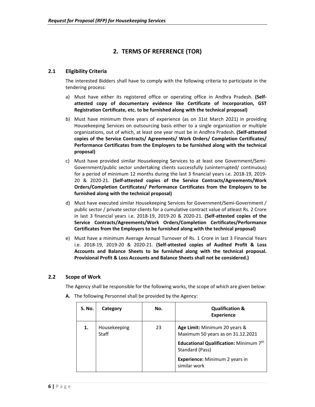## **2. TERMS OF REFERENCE (TOR)**

#### **2.1 Eligibility Criteria**

The interested Bidders shall have to comply with the following criteria to participate in the tendering process:

- a) Must have either its registered office or operating office in Andhra Pradesh. **(Self‐ attested copy of documentary evidence like Certificate of Incorporation, GST Registration Certificate, etc. to be furnished along with the technical proposal)**
- b) Must have minimum three years of experience (as on 31st March 2021) in providing Housekeeping Services on outsourcing basis either to a single organization or multiple organizations, out of which, at least one year must be in Andhra Pradesh. **(Self‐attested copies of the Service Contracts/ Agreements/ Work Orders/ Completion Certificates/ Performance Certificates from the Employers to be furnished along with the technical proposal)**
- c) Must have provided similar Housekeeping Services to at least one Government/Semi-Government/public sector undertaking clients successfully (uninterrupted/ continuous) for a period of minimum 12 months during the last 3 financial years i.e. 2018‐19, 2019‐ 20 & 2020‐21. **(Self‐attested copies of the Service Contracts/Agreements/Work Orders/Completion Certificates/ Performance Certificates from the Employers to be furnished along with the technical proposal)**
- d) Must have executed similar Housekeeping Services for Government/Semi‐Government / public sector / private sector clients for a cumulative contract value of atleast Rs. 2 Crore in last 3 financial years i.e. 2018‐19, 2019‐20 & 2020‐21. **(Self‐attested copies of the Service Contracts/Agreements/Work Orders/Completion Certificates/Performance Certificates from the Employers to be furnished along with the technical proposal)**
- e) Must have a minimum Average Annual Turnover of Rs. 1 Crore in last 3 Financial Years i.e. 2018‐19, 2019‐20 & 2020‐21. **(Self‐attested copies of Audited Profit & Loss Accounts and Balance Sheets to be furnished along with the technical proposal. Provisional Profit & Loss Accounts and Balance Sheets shall not be considered.)**

#### **2.2 Scope of Work**

The Agency shall be responsible for the following works, the scope of which are given below:

| S. No. | Category                     | No. | <b>Qualification &amp;</b><br><b>Experience</b>                                                             |
|--------|------------------------------|-----|-------------------------------------------------------------------------------------------------------------|
| 1.     | Housekeeping<br><b>Staff</b> | 23  | Age Limit: Minimum 20 years &<br>Maximum 50 years as on 31.12.2021                                          |
|        |                              |     | Educational Qualification: Minimum 7th<br>Standard (Pass)<br>Experience: Minimum 2 years in<br>similar work |

**A.**  The following Personnel shall be provided by the Agency: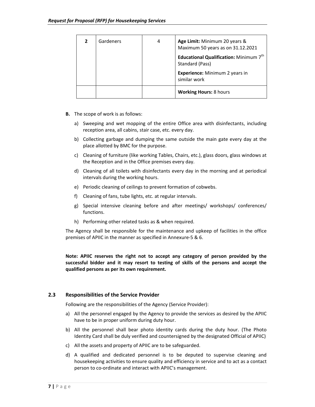| Gardeners | 4 | Age Limit: Minimum 20 years &<br>Maximum 50 years as on 31.12.2021<br>Educational Qualification: Minimum 7 <sup>th</sup><br>Standard (Pass)<br>Experience: Minimum 2 years in<br>similar work |
|-----------|---|-----------------------------------------------------------------------------------------------------------------------------------------------------------------------------------------------|
|           |   | <b>Working Hours: 8 hours</b>                                                                                                                                                                 |

- **B.**  The scope of work is as follows:
	- a) Sweeping and wet mopping of the entire Office area with disinfectants, including reception area, all cabins, stair case, etc. every day.
	- b) Collecting garbage and dumping the same outside the main gate every day at the place allotted by BMC for the purpose.
	- c) Cleaning of furniture (like working Tables, Chairs, etc.), glass doors, glass windows at the Reception and in the Office premises every day.
	- d) Cleaning of all toilets with disinfectants every day in the morning and at periodical intervals during the working hours.
	- e) Periodic cleaning of ceilings to prevent formation of cobwebs.
	- f) Cleaning of fans, tube lights, etc. at regular intervals.
	- g) Special intensive cleaning before and after meetings/ workshops/ conferences/ functions.
	- h) Performing other related tasks as & when required.

The Agency shall be responsible for the maintenance and upkeep of facilities in the office premises of APIIC in the manner as specified in Annexure‐5 & 6.

**Note: APIIC reserves the right not to accept any category of person provided by the successful bidder and it may resort to testing of skills of the persons and accept the qualified persons as per its own requirement.** 

#### **2.3 Responsibilities of the Service Provider**

Following are the responsibilities of the Agency (Service Provider):

- a) All the personnel engaged by the Agency to provide the services as desired by the APIIC have to be in proper uniform during duty hour.
- b) All the personnel shall bear photo identity cards during the duty hour. (The Photo Identity Card shall be duly verified and countersigned by the designated Official of APIIC)
- c) All the assets and property of APIIC are to be safeguarded.
- d) A qualified and dedicated personnel is to be deputed to supervise cleaning and housekeeping activities to ensure quality and efficiency in service and to act as a contact person to co-ordinate and interact with APIIC's management.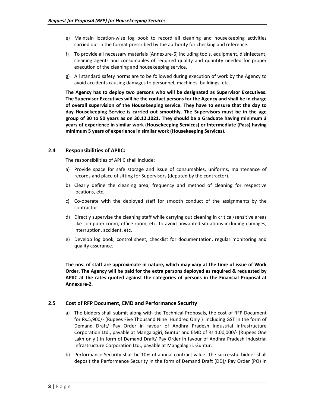- e) Maintain location‐wise log book to record all cleaning and housekeeping activities carried out in the format prescribed by the authority for checking and reference.
- f) To provide all necessary materials (Annexure‐6) including tools, equipment, disinfectant, cleaning agents and consumables of required quality and quantity needed for proper execution of the cleaning and housekeeping service.
- g) All standard safety norms are to be followed during execution of work by the Agency to avoid accidents causing damages to personnel, machines, buildings, etc.

**The Agency has to deploy two persons who will be designated as Supervisor Executives. The Supervisor Executives will be the contact persons for the Agency and shall be in charge of overall supervision of the Housekeeping service. They have to ensure that the day to day Housekeeping Service is carried out smoothly. The Supervisors must be in the age group of 30 to 50 years as on 30.12.2021. They should be a Graduate having minimum 3 years of experience in similar work (Housekeeping Services) or Intermediate (Pass) having minimum 5 years of experience in similar work (Housekeeping Services).** 

#### **2.4 Responsibilities of APIIC:**

The responsibilities of APIIC shall include:

- a) Provide space for safe storage and issue of consumables, uniforms, maintenance of records and place of sitting for Supervisors (deputed by the contractor).
- b) Clearly define the cleaning area, frequency and method of cleaning for respective locations, etc.
- c) Co-operate with the deployed staff for smooth conduct of the assignments by the contractor.
- d) Directly supervise the cleaning staff while carrying out cleaning in critical/sensitive areas like computer room, office room, etc. to avoid unwanted situations including damages, interruption, accident, etc.
- e) Develop log book, control sheet, checklist for documentation, regular monitoring and quality assurance.

**The nos. of staff are approximate in nature, which may vary at the time of issue of Work Order. The Agency will be paid for the extra persons deployed as required & requested by APIIC at the rates quoted against the categories of persons in the Financial Proposal at Annexure‐2.**

#### **2.5 Cost of RFP Document, EMD and Performance Security**

- a) The bidders shall submit along with the Technical Proposals, the cost of RFP Document for Rs.5,900/‐ (Rupees Five Thousand Nine Hundred Only ) including GST in the form of Demand Draft/ Pay Order in favour of Andhra Pradesh Industrial Infrastructure Corporation Ltd., payable at Mangalagiri, Guntur and EMD of Rs 1,00,000/‐ (Rupees One Lakh only) in form of Demand Draft/ Pay Order in favour of Andhra Pradesh Industrial Infrastructure Corporation Ltd., payable at Mangalagiri, Guntur.
- b) Performance Security shall be 10% of annual contract value. The successful bidder shall deposit the Performance Security in the form of Demand Draft (DD)/ Pay Order (PO) in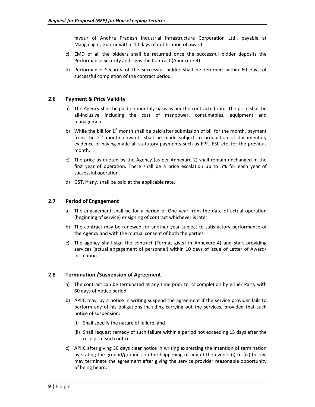favour of Andhra Pradesh Industrial Infrastructure Corporation Ltd., payable at Mangalagiri, Guntur within 10 days of notification of award.

- c) EMD of all the bidders shall be returned once the successful bidder deposits the Performance Security and signs the Contract (Annexure‐4).
- d) Performance Security of the successful bidder shall be returned within 60 days of successful completion of the contract period.

#### **2.6 Payment & Price Validity**

- a) The Agency shall be paid on monthly basis as per the contracted rate. The price shall be all-inclusive including the cost of manpower, consumables, equipment and management.
- b) While the bill for  $1<sup>st</sup>$  month shall be paid after submission of bill for the month, payment from the  $2<sup>nd</sup>$  month onwards shall be made subject to production of documentary evidence of having made all statutory payments such as EPF, ESI, etc. for the previous month.
- c) The price as quoted by the Agency (as per Annexure-2) shall remain unchanged in the first year of operation. There shall be a price escalation up to 5% for each year of successful operation.
- d) GST, if any, shall be paid at the applicable rate.

#### **2.7 Period of Engagement**

- a) The engagement shall be for a period of One year from the date of actual operation (beginning of service) or signing of contract whichever is later.
- b) The contract may be renewed for another year subject to satisfactory performance of the Agency and with the mutual consent of both the parties.
- c) The agency shall sign the contract (Format given in Annexure-4) and start providing services (actual engagement of personnel) within 10 days of issue of Letter of Award/ Intimation.

#### **2.8 Termination /Suspension of Agreement**

- a) The contract can be terminated at any time prior to its completion by either Party with 60 days of notice period.
- b) APIIC may, by a notice in writing suspend the agreement if the service provider fails to perform any of his obligations including carrying out the services, provided that such notice of suspension:
	- (i) Shall specify the nature of failure, and
	- (ii) Shall request remedy of such failure within a period not exceeding 15 days after the receipt of such notice.
- c) APIIC after giving 30 days clear notice in writing expressing the intention of termination by stating the ground/grounds on the happening of any of the events (i) to (iv) below, may terminate the agreement after giving the service provider reasonable opportunity of being heard.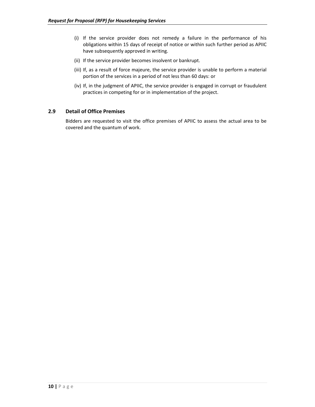- (i) If the service provider does not remedy a failure in the performance of his obligations within 15 days of receipt of notice or within such further period as APIIC have subsequently approved in writing.
- (ii) If the service provider becomes insolvent or bankrupt.
- (iii) If, as a result of force majeure, the service provider is unable to perform a material portion of the services in a period of not less than 60 days: or
- (iv) If, in the judgment of APIIC, the service provider is engaged in corrupt or fraudulent practices in competing for or in implementation of the project.

#### **2.9 Detail of Office Premises**

Bidders are requested to visit the office premises of APIIC to assess the actual area to be covered and the quantum of work.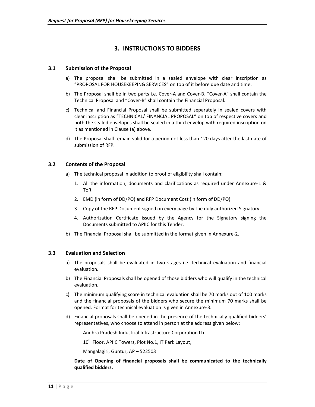## **3. INSTRUCTIONS TO BIDDERS**

#### **3.1 Submission of the Proposal**

- a) The proposal shall be submitted in a sealed envelope with clear inscription as "PROPOSAL FOR HOUSEKEEPING SERVICES" on top of it before due date and time.
- b) The Proposal shall be in two parts i.e. Cover‐A and Cover‐B. "Cover‐A" shall contain the Technical Proposal and "Cover‐B" shall contain the Financial Proposal.
- c) Technical and Financial Proposal shall be submitted separately in sealed covers with clear inscription as "TECHNICAL/ FINANCIAL PROPOSAL" on top of respective covers and both the sealed envelopes shall be sealed in a third envelop with required inscription on it as mentioned in Clause (a) above.
- d) The Proposal shall remain valid for a period not less than 120 days after the last date of submission of RFP.

#### **3.2 Contents of the Proposal**

- a) The technical proposal in addition to proof of eligibility shall contain:
	- 1. All the information, documents and clarifications as required under Annexure-1 & ToR.
	- 2. EMD (in form of DD/PO) and RFP Document Cost (in form of DD/PO).
	- 3. Copy of the RFP Document signed on every page by the duly authorized Signatory.
	- 4. Authorization Certificate issued by the Agency for the Signatory signing the Documents submitted to APIIC for this Tender.
- b) The Financial Proposal shall be submitted in the format given in Annexure‐2.

#### **3.3 Evaluation and Selection**

- a) The proposals shall be evaluated in two stages i.e. technical evaluation and financial evaluation.
- b) The Financial Proposals shall be opened of those bidders who will qualify in the technical evaluation.
- c) The minimum qualifying score in technical evaluation shall be 70 marks out of 100 marks and the financial proposals of the bidders who secure the minimum 70 marks shall be opened. Format for technical evaluation is given in Annexure‐3.
- d) Financial proposals shall be opened in the presence of the technically qualified bidders' representatives, who choose to attend in person at the address given below:

Andhra Pradesh Industrial Infrastructure Corporation Ltd.

10<sup>th</sup> Floor, APIIC Towers, Plot No.1, IT Park Layout,

Mangalagiri, Guntur, AP – 522503

**Date of Opening of financial proposals shall be communicated to the technically qualified bidders.**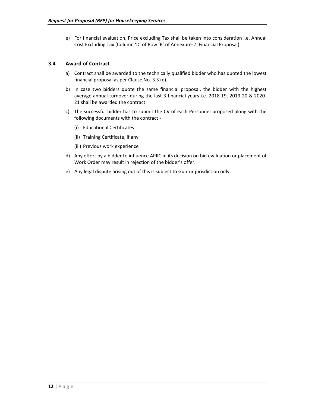e) For financial evaluation, Price excluding Tax shall be taken into consideration i.e. Annual Cost Excluding Tax (Column 'D' of Row 'B' of Annexure‐2: Financial Proposal).

#### **3.4 Award of Contract**

- a) Contract shall be awarded to the technically qualified bidder who has quoted the lowest financial proposal as per Clause No. 3.3 (e).
- b) In case two bidders quote the same financial proposal, the bidder with the highest average annual turnover during the last 3 financial years i.e. 2018‐19, 2019‐20 & 2020‐ 21 shall be awarded the contract.
- c) The successful bidder has to submit the CV of each Personnel proposed along with the following documents with the contract ‐
	- (i) Educational Certificates
	- (ii) Training Certificate, if any
	- (iii) Previous work experience
- d) Any effort by a bidder to influence APIIC in its decision on bid evaluation or placement of Work Order may result in rejection of the bidder's offer.
- e) Any legal dispute arising out of this is subject to Guntur jurisdiction only.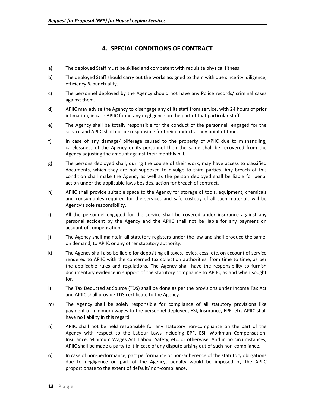## **4. SPECIAL CONDITIONS OF CONTRACT**

- a) The deployed Staff must be skilled and competent with requisite physical fitness.
- b) The deployed Staff should carry out the works assigned to them with due sincerity, diligence, efficiency & punctuality.
- c) The personnel deployed by the Agency should not have any Police records/ criminal cases against them.
- d) APIIC may advise the Agency to disengage any of its staff from service, with 24 hours of prior intimation, in case APIIC found any negligence on the part of that particular staff.
- e) The Agency shall be totally responsible for the conduct of the personnel engaged for the service and APIIC shall not be responsible for their conduct at any point of time.
- f) In case of any damage/ pilferage caused to the property of APIIC due to mishandling, carelessness of the Agency or its personnel then the same shall be recovered from the Agency adjusting the amount against their monthly bill.
- g) The persons deployed shall, during the course of their work, may have access to classified documents, which they are not supposed to divulge to third parties. Any breach of this condition shall make the Agency as well as the person deployed shall be liable for penal action under the applicable laws besides, action for breach of contract.
- h) APIIC shall provide suitable space to the Agency for storage of tools, equipment, chemicals and consumables required for the services and safe custody of all such materials will be Agency's sole responsibility.
- i) All the personnel engaged for the service shall be covered under insurance against any personal accident by the Agency and the APIIC shall not be liable for any payment on account of compensation.
- j) The Agency shall maintain all statutory registers under the law and shall produce the same, on demand, to APIIC or any other statutory authority.
- k) The Agency shall also be liable for depositing all taxes, levies, cess, etc. on account of service rendered to APIIC with the concerned tax collection authorities, from time to time, as per the applicable rules and regulations. The Agency shall have the responsibility to furnish documentary evidence in support of the statutory compliance to APIIC, as and when sought for.
- l) The Tax Deducted at Source (TDS) shall be done as per the provisions under Income Tax Act and APIIC shall provide TDS certificate to the Agency.
- m) The Agency shall be solely responsible for compliance of all statutory provisions like payment of minimum wages to the personnel deployed, ESI, Insurance, EPF, etc. APIIC shall have no liability in this regard.
- n) APIIC shall not be held responsible for any statutory non-compliance on the part of the Agency with respect to the Labour Laws including EPF, ESI, Workman Compensation, Insurance, Minimum Wages Act, Labour Safety, etc. or otherwise. And in no circumstances, APIIC shall be made a party to it in case of any dispute arising out of such non‐compliance.
- o) In case of non-performance, part performance or non-adherence of the statutory obligations due to negligence on part of the Agency, penalty would be imposed by the APIIC proportionate to the extent of default/ non‐compliance.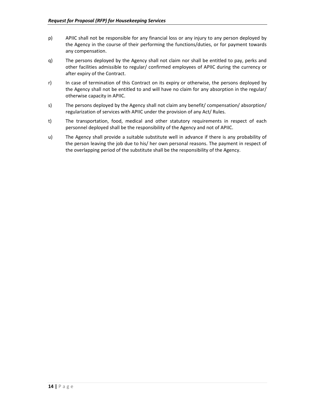- p) APIIC shall not be responsible for any financial loss or any injury to any person deployed by the Agency in the course of their performing the functions/duties, or for payment towards any compensation.
- q) The persons deployed by the Agency shall not claim nor shall be entitled to pay, perks and other facilities admissible to regular/ confirmed employees of APIIC during the currency or after expiry of the Contract.
- r) In case of termination of this Contract on its expiry or otherwise, the persons deployed by the Agency shall not be entitled to and will have no claim for any absorption in the regular/ otherwise capacity in APIIC.
- s) The persons deployed by the Agency shall not claim any benefit/ compensation/ absorption/ regularization of services with APIIC under the provision of any Act/ Rules.
- t) The transportation, food, medical and other statutory requirements in respect of each personnel deployed shall be the responsibility of the Agency and not of APIIC.
- u) The Agency shall provide a suitable substitute well in advance if there is any probability of the person leaving the job due to his/ her own personal reasons. The payment in respect of the overlapping period of the substitute shall be the responsibility of the Agency.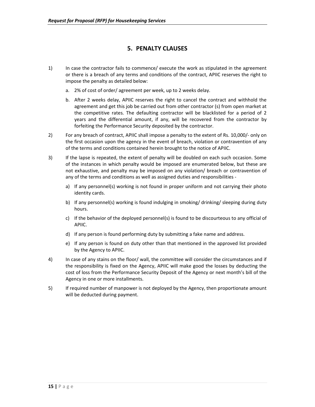## **5. PENALTY CLAUSES**

- 1) In case the contractor fails to commence/ execute the work as stipulated in the agreement or there is a breach of any terms and conditions of the contract, APIIC reserves the right to impose the penalty as detailed below:
	- a. 2% of cost of order/ agreement per week, up to 2 weeks delay.
	- b. After 2 weeks delay, APIIC reserves the right to cancel the contract and withhold the agreement and get this job be carried out from other contractor (s) from open market at the competitive rates. The defaulting contractor will be blacklisted for a period of 2 years and the differential amount, if any, will be recovered from the contractor by forfeiting the Performance Security deposited by the contractor.
- 2) For any breach of contract, APIIC shall impose a penalty to the extent of Rs. 10,000/- only on the first occasion upon the agency in the event of breach, violation or contravention of any of the terms and conditions contained herein brought to the notice of APIIC.
- 3) If the lapse is repeated, the extent of penalty will be doubled on each such occasion. Some of the instances in which penalty would be imposed are enumerated below, but these are not exhaustive, and penalty may be imposed on any violation/ breach or contravention of any of the terms and conditions as well as assigned duties and responsibilities
	- a) If any personnel(s) working is not found in proper uniform and not carrying their photo identity cards.
	- b) If any personnel(s) working is found indulging in smoking/ drinking/ sleeping during duty hours.
	- c) If the behavior of the deployed personnel(s) is found to be discourteous to any official of APIIC.
	- d) If any person is found performing duty by submitting a fake name and address.
	- e) If any person is found on duty other than that mentioned in the approved list provided by the Agency to APIIC.
- 4) In case of any stains on the floor/ wall, the committee will consider the circumstances and if the responsibility is fixed on the Agency, APIIC will make good the losses by deducting the cost of loss from the Performance Security Deposit of the Agency or next month's bill of the Agency in one or more installments.
- 5) If required number of manpower is not deployed by the Agency, then proportionate amount will be deducted during payment.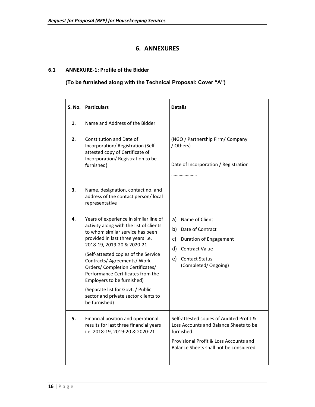## **6. ANNEXURES**

#### **6.1 ANNEXURE‐1: Profile of the Bidder**

## **(To be furnished along with the Technical Proposal: Cover "A")**

| <b>S. No.</b> | <b>Particulars</b>                                                                                                                                                                                                                                                                                                                                                                                                                                                   | <b>Details</b>                                                                                                                                                                       |
|---------------|----------------------------------------------------------------------------------------------------------------------------------------------------------------------------------------------------------------------------------------------------------------------------------------------------------------------------------------------------------------------------------------------------------------------------------------------------------------------|--------------------------------------------------------------------------------------------------------------------------------------------------------------------------------------|
| 1.            | Name and Address of the Bidder                                                                                                                                                                                                                                                                                                                                                                                                                                       |                                                                                                                                                                                      |
| 2.            | <b>Constitution and Date of</b><br>Incorporation/ Registration (Self-<br>attested copy of Certificate of<br>Incorporation/ Registration to be<br>furnished)                                                                                                                                                                                                                                                                                                          | (NGO / Partnership Firm/ Company<br>/ Others)<br>Date of Incorporation / Registration                                                                                                |
| 3.            | Name, designation, contact no. and<br>address of the contact person/local<br>representative                                                                                                                                                                                                                                                                                                                                                                          |                                                                                                                                                                                      |
| 4.            | Years of experience in similar line of<br>activity along with the list of clients<br>to whom similar service has been<br>provided in last three years i.e.<br>2018-19, 2019-20 & 2020-21<br>(Self-attested copies of the Service<br>Contracts/ Agreements/ Work<br>Orders/ Completion Certificates/<br>Performance Certificates from the<br>Employers to be furnished)<br>(Separate list for Govt. / Public<br>sector and private sector clients to<br>be furnished) | a) Name of Client<br>b) Date of Contract<br>c)<br>Duration of Engagement<br>d) Contract Value<br>e) Contact Status<br>(Completed/Ongoing)                                            |
| 5.            | Financial position and operational<br>results for last three financial years<br>i.e. 2018-19, 2019-20 & 2020-21                                                                                                                                                                                                                                                                                                                                                      | Self-attested copies of Audited Profit &<br>Loss Accounts and Balance Sheets to be<br>furnished.<br>Provisional Profit & Loss Accounts and<br>Balance Sheets shall not be considered |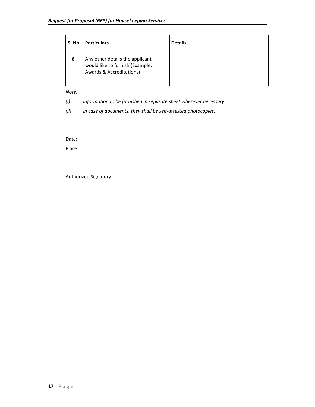| S. No. | <b>Particulars</b>                                                                                        | <b>Details</b> |
|--------|-----------------------------------------------------------------------------------------------------------|----------------|
| 6.     | Any other details the applicant<br>would like to furnish (Example:<br><b>Awards &amp; Accreditations)</b> |                |

*Note:* 

*(i) Information to be furnished in separate sheet wherever necessary.* 

*(ii) In case of documents, they shall be self‐attested photocopies*.

Date:

Place:

Authorized Signatory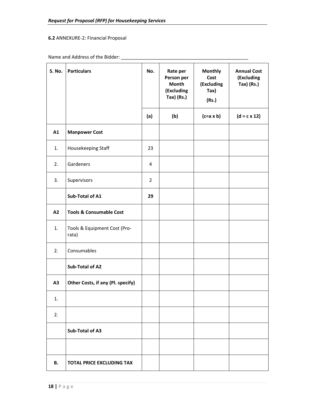## **6.2** ANNEXURE‐2: Financial Proposal

## Name and Address of the Bidder: \_\_\_\_\_\_\_\_\_\_\_\_\_\_\_\_\_\_\_\_\_\_\_\_\_\_\_\_\_\_\_\_\_\_\_\_\_\_\_\_\_\_\_\_\_\_\_\_

| <b>S. No.</b> | <b>Particulars</b>                    | No.            | Rate per<br>Person per<br>Month<br>(Excluding<br>Tax) (Rs.) | <b>Monthly</b><br>Cost<br>(Excluding<br>Tax)<br>(Rs.) | <b>Annual Cost</b><br>(Excluding<br>$Tax)$ (Rs.) |
|---------------|---------------------------------------|----------------|-------------------------------------------------------------|-------------------------------------------------------|--------------------------------------------------|
|               |                                       | (a)            | (b)                                                         | $(c=a \times b)$                                      | $(d = c \times 12)$                              |
| A1            | <b>Manpower Cost</b>                  |                |                                                             |                                                       |                                                  |
| 1.            | Housekeeping Staff                    | 23             |                                                             |                                                       |                                                  |
| 2.            | Gardeners                             | 4              |                                                             |                                                       |                                                  |
| 3.            | Supervisors                           | $\overline{2}$ |                                                             |                                                       |                                                  |
|               | Sub-Total of A1                       | 29             |                                                             |                                                       |                                                  |
| A2            | <b>Tools &amp; Consumable Cost</b>    |                |                                                             |                                                       |                                                  |
| 1.            | Tools & Equipment Cost (Pro-<br>rata) |                |                                                             |                                                       |                                                  |
| 2.            | Consumables                           |                |                                                             |                                                       |                                                  |
|               | Sub-Total of A2                       |                |                                                             |                                                       |                                                  |
| A3            | Other Costs, if any (Pl. specify)     |                |                                                             |                                                       |                                                  |
| 1.            |                                       |                |                                                             |                                                       |                                                  |
| 2.            |                                       |                |                                                             |                                                       |                                                  |
|               | Sub-Total of A3                       |                |                                                             |                                                       |                                                  |
|               |                                       |                |                                                             |                                                       |                                                  |
| В.            | <b>TOTAL PRICE EXCLUDING TAX</b>      |                |                                                             |                                                       |                                                  |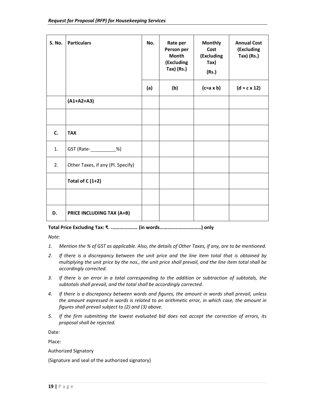| <b>S. No.</b> | <b>Particulars</b>                | No. | Rate per<br>Person per<br><b>Month</b><br>(Excluding<br>Tax) (Rs.) | <b>Monthly</b><br>Cost<br>(Excluding<br>Tax)<br>(Rs.) | <b>Annual Cost</b><br>(Excluding<br>Tax) (Rs.) |
|---------------|-----------------------------------|-----|--------------------------------------------------------------------|-------------------------------------------------------|------------------------------------------------|
|               |                                   | (a) | (b)                                                                | $(c=a \times b)$                                      | $(d = c \times 12)$                            |
|               | $(A1+A2+A3)$                      |     |                                                                    |                                                       |                                                |
|               |                                   |     |                                                                    |                                                       |                                                |
| C.            | <b>TAX</b>                        |     |                                                                    |                                                       |                                                |
| 1.            | GST (Rate- ____________%)         |     |                                                                    |                                                       |                                                |
| 2.            | Other Taxes, if any (Pl. Specify) |     |                                                                    |                                                       |                                                |
|               | Total of $C(1+2)$                 |     |                                                                    |                                                       |                                                |
|               |                                   |     |                                                                    |                                                       |                                                |
| D.            | PRICE INCLUDING TAX (A+B)         |     |                                                                    |                                                       |                                                |

**Total Price Excluding Tax: ₹. .…………..…… (in words……………………………) only** 

*Note:* 

- *1. Mention the % of GST as applicable. Also, the details of Other Taxes, if any, are to be mentioned.*
- *2. If there is a discrepancy between the unit price and the line item total that is obtained by multiplying the unit price by the nos., the unit price shall prevail, and the line item total shall be accordingly corrected.*
- *3. If there is an error in a total corresponding to the addition or subtraction of subtotals, the subtotals shall prevail, and the total shall be accordingly corrected.*
- *4. If there is a discrepancy between words and figures, the amount in words shall prevail, unless the amount expressed in words is related to an arithmetic error, in which case, the amount in figures shall prevail subject to (2) and (3) above.*
- *5. If the firm submitting the lowest evaluated bid does not accept the correction of errors, its proposal shall be rejected.*

Date:

Place:

#### Authorized Signatory

(Signature and seal of the authorized signatory)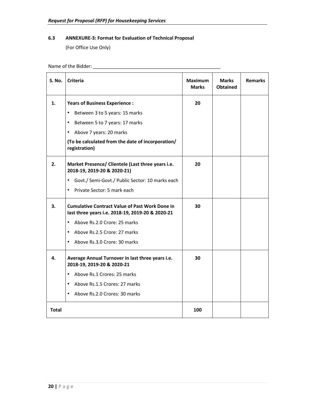## **6.3 ANNEXURE‐3: Format for Evaluation of Technical Proposal**

(For Office Use Only)

Name of the Bidder: \_\_\_\_\_\_\_\_\_\_\_\_\_\_\_\_\_\_\_\_\_\_\_\_\_\_\_\_\_\_\_\_\_\_\_\_\_\_\_\_\_\_\_\_\_\_\_\_

| S. No.       | <b>Criteria</b>                                                                                           | <b>Maximum</b><br><b>Marks</b> | <b>Marks</b><br><b>Obtained</b> | <b>Remarks</b> |
|--------------|-----------------------------------------------------------------------------------------------------------|--------------------------------|---------------------------------|----------------|
| 1.           | <b>Years of Business Experience:</b>                                                                      | 20                             |                                 |                |
|              | $\bullet$<br>Between 3 to 5 years: 15 marks                                                               |                                |                                 |                |
|              | $\bullet$<br>Between 5 to 7 years: 17 marks                                                               |                                |                                 |                |
|              | $\bullet$<br>Above 7 years: 20 marks                                                                      |                                |                                 |                |
|              | (To be calculated from the date of incorporation/<br>registration)                                        |                                |                                 |                |
| 2.           | Market Presence/ Clientele (Last three years i.e.<br>2018-19, 2019-20 & 2020-21)                          | 20                             |                                 |                |
|              | Govt./ Semi-Govt./ Public Sector: 10 marks each<br>$\bullet$                                              |                                |                                 |                |
|              | Private Sector: 5 mark each<br>$\bullet$                                                                  |                                |                                 |                |
| 3.           | <b>Cumulative Contract Value of Past Work Done in</b><br>last three years i.e. 2018-19, 2019-20 & 2020-21 | 30                             |                                 |                |
|              | Above Rs.2.0 Crore: 25 marks<br>$\bullet$                                                                 |                                |                                 |                |
|              | Above Rs.2.5 Crore: 27 marks<br>$\bullet$                                                                 |                                |                                 |                |
|              | Above Rs.3.0 Crore: 30 marks<br>$\bullet$                                                                 |                                |                                 |                |
| 4.           | Average Annual Turnover in last three years i.e.<br>2018-19, 2019-20 & 2020-21                            | 30                             |                                 |                |
|              | Above Rs.1 Crores: 25 marks<br>$\bullet$                                                                  |                                |                                 |                |
|              | Above Rs.1.5 Crores: 27 marks<br>$\bullet$                                                                |                                |                                 |                |
|              | $\bullet$<br>Above Rs.2.0 Crores: 30 marks                                                                |                                |                                 |                |
| <b>Total</b> |                                                                                                           | 100                            |                                 |                |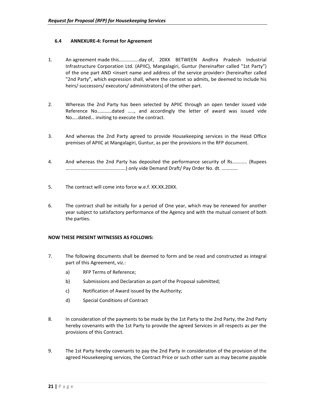#### **6.4 ANNEXURE‐4: Format for Agreement**

- 1. An agreement made this...............day of , 20XX BETWEEN Andhra Pradesh Industrial Infrastructure Corporation Ltd. (APIIC), Mangalagiri, Guntur (hereinafter called "1st Party") of the one part AND <insert name and address of the service provider> (hereinafter called "2nd Party", which expression shall, where the context so admits, be deemed to include his heirs/ successors/ executors/ administrators) of the other part.
- 2. Whereas the 2nd Party has been selected by APIIC through an open tender issued vide Reference No…………dated ….., and accordingly the letter of award was issued vide No…..dated… inviting to execute the contract.
- 3. And whereas the 2nd Party agreed to provide Housekeeping services in the Head Office premises of APIIC at Mangalagiri, Guntur, as per the provisions in the RFP document.
- 4. And whereas the 2nd Party has deposited the performance security of Rs........... (Rupees ………………………………………….) only vide Demand Draft/ Pay Order No. dt. ………….
- 5. The contract will come into force w.e.f. XX.XX.20XX.
- 6. The contract shall be initially for a period of One year, which may be renewed for another year subject to satisfactory performance of the Agency and with the mutual consent of both the parties.

#### **NOW THESE PRESENT WITNESSES AS FOLLOWS:**

- 7. The following documents shall be deemed to form and be read and constructed as integral part of this Agreement, viz.:
	- a) RFP Terms of Reference;
	- b) Submissions and Declaration as part of the Proposal submitted;
	- c) Notification of Award issued by the Authority;
	- d) Special Conditions of Contract
- 8. In consideration of the payments to be made by the 1st Party to the 2nd Party, the 2nd Party hereby covenants with the 1st Party to provide the agreed Services in all respects as per the provisions of this Contract.
- 9. The 1st Party hereby covenants to pay the 2nd Party in consideration of the provision of the agreed Housekeeping services, the Contract Price or such other sum as may become payable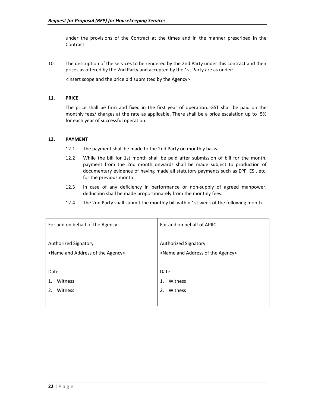under the provisions of the Contract at the times and in the manner prescribed in the Contract.

10. The description of the services to be rendered by the 2nd Party under this contract and their prices as offered by the 2nd Party and accepted by the 1st Party are as under:

<Insert scope and the price bid submitted by the Agency>

#### **11. PRICE**

The price shall be firm and fixed in the first year of operation. GST shall be paid on the monthly fees/ charges at the rate as applicable. There shall be a price escalation up to 5% for each year of successful operation.

#### **12. PAYMENT**

- 12.1 The payment shall be made to the 2nd Party on monthly basis.
- 12.2 While the bill for 1st month shall be paid after submission of bill for the month, payment from the 2nd month onwards shall be made subject to production of documentary evidence of having made all statutory payments such as EPF, ESI, etc. for the previous month.
- 12.3 In case of any deficiency in performance or non-supply of agreed manpower, deduction shall be made proportionately from the monthly fees.
- 12.4 The 2nd Party shall submit the monthly bill within 1st week of the following month.

| For and on behalf of the Agency                        | For and on behalf of APIIC                             |
|--------------------------------------------------------|--------------------------------------------------------|
| Authorized Signatory                                   | <b>Authorized Signatory</b>                            |
| <name address="" agency="" and="" of="" the=""></name> | <name address="" agency="" and="" of="" the=""></name> |
| Date:                                                  | Date:                                                  |
| Witness                                                | Witness                                                |
| 1.                                                     | $\mathbf{1}$ .                                         |
| Witness                                                | 2.                                                     |
| $\mathcal{P}_{\cdot}$                                  | Witness                                                |
|                                                        |                                                        |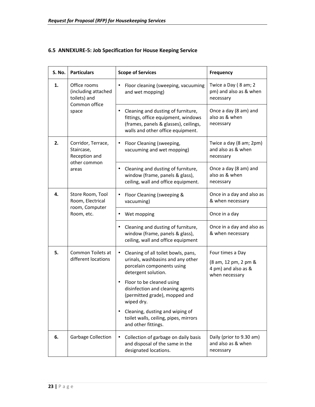### **6.5 ANNEXURE‐5: Job Specification for House Keeping Service**

| S. No.                                          | <b>Particulars</b>                                                            | <b>Scope of Services</b>                                                                                                                                                                                                                                                                                                                                         | <b>Frequency</b>                                                                  |
|-------------------------------------------------|-------------------------------------------------------------------------------|------------------------------------------------------------------------------------------------------------------------------------------------------------------------------------------------------------------------------------------------------------------------------------------------------------------------------------------------------------------|-----------------------------------------------------------------------------------|
| 1.                                              | Office rooms<br>(including attached<br>toilets) and<br>Common office<br>space | Floor cleaning (sweeping, vacuuming<br>$\bullet$<br>and wet mopping)                                                                                                                                                                                                                                                                                             | Twice a Day (8 am; 2<br>pm) and also as & when<br>necessary                       |
|                                                 |                                                                               | Cleaning and dusting of furniture,<br>$\bullet$<br>fittings, office equipment, windows<br>(frames, panels & glasses), ceilings,<br>walls and other office equipment.                                                                                                                                                                                             | Once a day (8 am) and<br>also as & when<br>necessary                              |
| 2.                                              | Corridor, Terrace,<br>Staircase,<br>Reception and                             | Floor Cleaning (sweeping,<br>٠<br>vacuuming and wet mopping)                                                                                                                                                                                                                                                                                                     | Twice a day (8 am; 2pm)<br>and also as & when<br>necessary                        |
| other common<br>areas<br>4.<br>Store Room, Tool |                                                                               | Cleaning and dusting of furniture,<br>$\bullet$<br>window (frame, panels & glass),<br>ceiling, wall and office equipment.                                                                                                                                                                                                                                        | Once a day (8 am) and<br>also as & when<br>necessary                              |
|                                                 | Room, Electrical                                                              | Floor Cleaning (sweeping &<br>٠<br>vacuuming)                                                                                                                                                                                                                                                                                                                    | Once in a day and also as<br>& when necessary                                     |
| room, Computer<br>Room, etc.                    |                                                                               | Wet mopping                                                                                                                                                                                                                                                                                                                                                      | Once in a day                                                                     |
|                                                 |                                                                               | Cleaning and dusting of furniture,<br>٠<br>window (frame, panels & glass),<br>ceiling, wall and office equipment                                                                                                                                                                                                                                                 | Once in a day and also as<br>& when necessary                                     |
| 5.                                              | Common Toilets at<br>different locations                                      | Cleaning of all toilet bowls, pans,<br>$\bullet$<br>urinals, washbasins and any other<br>porcelain components using<br>detergent solution.<br>Floor to be cleaned using<br>$\bullet$<br>disinfection and cleaning agents<br>(permitted grade), mopped and<br>wiped dry.<br>Cleaning, dusting and wiping of<br>$\bullet$<br>toilet walls, ceiling, pipes, mirrors | Four times a Day<br>(8 am, 12 pm, 2 pm &<br>4 pm) and also as &<br>when necessary |
|                                                 |                                                                               | and other fittings.                                                                                                                                                                                                                                                                                                                                              |                                                                                   |
| 6.                                              | <b>Garbage Collection</b>                                                     | Collection of garbage on daily basis<br>$\bullet$<br>and disposal of the same in the<br>designated locations.                                                                                                                                                                                                                                                    | Daily (prior to 9.30 am)<br>and also as & when<br>necessary                       |